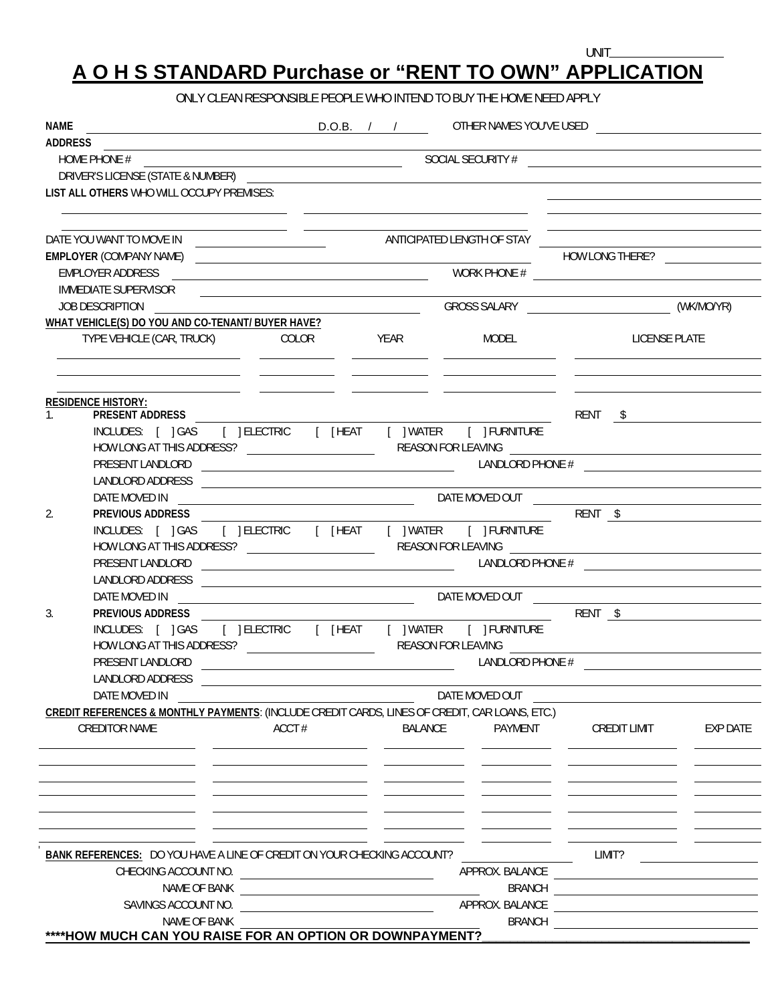## **A O H S STANDARD Purchase or "RENT TO OWN" APPLICATION**

ONLY CLEAN RESPONSIBLE PEOPLE WHO INTEND TO BUY THE HOME NEED APPLY

| NAME                                                                                                                 |                                                                                                                      |         |                 |                                                                                                                      |                 |
|----------------------------------------------------------------------------------------------------------------------|----------------------------------------------------------------------------------------------------------------------|---------|-----------------|----------------------------------------------------------------------------------------------------------------------|-----------------|
|                                                                                                                      |                                                                                                                      |         |                 |                                                                                                                      |                 |
|                                                                                                                      |                                                                                                                      |         |                 |                                                                                                                      |                 |
| DRIVER'S LICENSE (STATE & NUMBER)                                                                                    |                                                                                                                      |         |                 | <u> 1989 - Johann Stoff, amerikansk politiker (d. 1989)</u>                                                          |                 |
| LIST ALL OTHERS WHO WILL OCCUPY PREMISES:                                                                            |                                                                                                                      |         |                 | <u> 1989 - Johann Barnett, fransk politik (</u>                                                                      |                 |
|                                                                                                                      |                                                                                                                      |         |                 |                                                                                                                      |                 |
|                                                                                                                      |                                                                                                                      |         |                 | <u> 1980 - Johann Barbara, martxa alemaniar amerikan a</u>                                                           |                 |
|                                                                                                                      |                                                                                                                      |         |                 |                                                                                                                      |                 |
| <b>EMPLOYER (COMPANY NAME)</b><br>EMPLOYER ADDRESS                                                                   | <u> 2000 - Andrea Andrew Maria (h. 1878).</u>                                                                        |         |                 | HOW LONG THERE?                                                                                                      |                 |
| IMMEDIATE SUPERVISOR                                                                                                 |                                                                                                                      |         |                 | $\begin{array}{c}\n\hline\n\text{WORK PHONE} \# \end{array}$                                                         |                 |
| <b>JOB DESCRIPTION</b>                                                                                               | <u> Alexandria de la contrada de la contrada de la contrada de la contrada de la contrada de la contrada de la c</u> |         |                 |                                                                                                                      |                 |
| WHAT VEHICLE(S) DO YOU AND CO-TENANT/ BUYER HAVE?                                                                    |                                                                                                                      |         |                 |                                                                                                                      |                 |
| TYPE VEHICLE (CAR, TRUCK)                                                                                            | COLOR YEAR                                                                                                           |         | MODEL           | <b>LICENSE PLATE</b>                                                                                                 |                 |
| <u> 1989 - Andrea San Andrea San Andrea San Andrea San Andrea San Andrea San Andrea San Andrea San Andrea San An</u> |                                                                                                                      |         |                 |                                                                                                                      |                 |
| <b>RESIDENCE HISTORY:</b>                                                                                            |                                                                                                                      |         |                 |                                                                                                                      |                 |
| $\mathbf{1}$                                                                                                         |                                                                                                                      |         |                 | RENT \$                                                                                                              |                 |
| INCLUDES: [ ]GAS [ ]ELECTRIC [ [HEAT [ ]WATER [ ]FURNITURE                                                           |                                                                                                                      |         |                 |                                                                                                                      |                 |
|                                                                                                                      |                                                                                                                      |         |                 |                                                                                                                      |                 |
| LANDLORD ADDRESS                                                                                                     |                                                                                                                      |         |                 |                                                                                                                      |                 |
| DATE MOVED IN                                                                                                        | <u> 1980 - Andrea Brand, Amerikaansk politiker (</u> † 1902)                                                         |         |                 |                                                                                                                      |                 |
| 2.<br>PREVIOUS ADDRESS                                                                                               |                                                                                                                      |         |                 | DATE MOVED OUT <b>contract the COVED COVED OUT</b><br>RENT \$                                                        |                 |
|                                                                                                                      |                                                                                                                      |         |                 |                                                                                                                      |                 |
|                                                                                                                      |                                                                                                                      |         |                 |                                                                                                                      |                 |
| PRESENT LANDLORD                                                                                                     |                                                                                                                      |         |                 | $\begin{array}{cccccccccccccc} \textbf{LANDLORD PHONE} \# & & & & & & \end{array}$                                   |                 |
| LANDLORD ADDRESS                                                                                                     | <u> 2000 - Jan James James Barnett, fransk politik (d. 1878)</u>                                                     |         |                 |                                                                                                                      |                 |
| DATE MOVED IN                                                                                                        |                                                                                                                      |         |                 | DATE MOVED OUT <b>And the CONSTITUTION</b> ON THE MOVED OUT                                                          |                 |
| 3.<br>PREVIOUS ADDRESS                                                                                               |                                                                                                                      |         |                 |                                                                                                                      |                 |
|                                                                                                                      |                                                                                                                      |         |                 |                                                                                                                      |                 |
|                                                                                                                      |                                                                                                                      |         |                 |                                                                                                                      |                 |
| PRESENT LANDLORD                                                                                                     |                                                                                                                      |         |                 | LANDLORD PHONE #                                                                                                     |                 |
| LANDLORD ADDRESS                                                                                                     |                                                                                                                      |         |                 |                                                                                                                      |                 |
| DATE MOVED IN                                                                                                        |                                                                                                                      |         | DATE MOVED OUT  |                                                                                                                      |                 |
| CREDIT REFERENCES & MONTHLY PAYMENTS: (INCLUDE CREDIT CARDS, LINES OF CREDIT, CAR LOANS, ETC.)                       |                                                                                                                      |         |                 |                                                                                                                      |                 |
| <b>CREDITOR NAME</b>                                                                                                 | ACCT#                                                                                                                | BALANCE | PAYMENT         | CREDIT LIMIT                                                                                                         | <b>EXP DATE</b> |
|                                                                                                                      |                                                                                                                      |         |                 |                                                                                                                      |                 |
|                                                                                                                      |                                                                                                                      |         |                 |                                                                                                                      |                 |
|                                                                                                                      |                                                                                                                      |         |                 |                                                                                                                      |                 |
|                                                                                                                      |                                                                                                                      |         |                 |                                                                                                                      |                 |
|                                                                                                                      |                                                                                                                      |         |                 |                                                                                                                      |                 |
|                                                                                                                      |                                                                                                                      |         |                 |                                                                                                                      |                 |
| <b>BANK REFERENCES:</b> DO YOU HAVE A LINE OF CREDIT ON YOUR CHECKING ACCOUNT?                                       |                                                                                                                      |         |                 | LIMIT?                                                                                                               |                 |
|                                                                                                                      |                                                                                                                      |         | APPROX. BALANCE |                                                                                                                      |                 |
| CHECKING ACCOUNT NO.<br>NAME OF BANK                                                                                 |                                                                                                                      |         | <b>BRANCH</b>   | <u> 1980 - John Stein, mars and de Britain and de Britain and de Britain and de Britain and de Britain and de Br</u> |                 |
| SAVINGS ACCOUNT NO.                                                                                                  |                                                                                                                      |         | APPROX. BALANCE | <u> 1980 - Jan Barbara (j. 1980)</u>                                                                                 |                 |
| NAME OF BANK                                                                                                         |                                                                                                                      |         | <b>BRANCH</b>   |                                                                                                                      |                 |
| ****HOW MUCH CAN YOU RAISE FOR AN OPTION OR DOWNPAYMENT?                                                             |                                                                                                                      |         |                 | <u> 1989 - Johann Stein, Amerikaansk politiker (</u>                                                                 |                 |